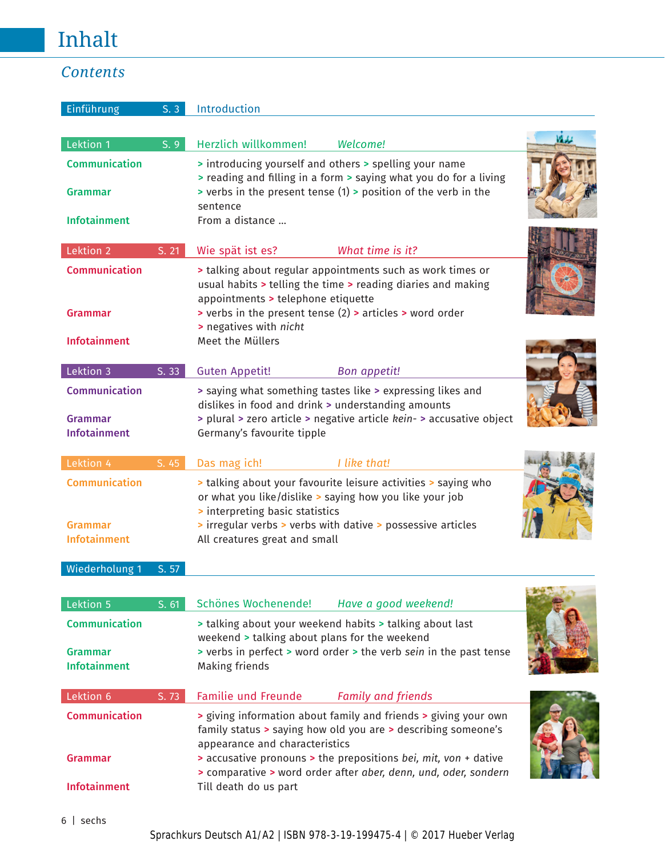## Inhalt

## *Contents*

| Einführung                                                    | S.3   | Introduction                                                                                                                                                                                                           |
|---------------------------------------------------------------|-------|------------------------------------------------------------------------------------------------------------------------------------------------------------------------------------------------------------------------|
| Lektion 1                                                     | S.9   | بكركانا<br>Herzlich willkommen!<br>Welcome!                                                                                                                                                                            |
| <b>Communication</b>                                          |       | Introducing yourself and others > spelling your name<br>> reading and filling in a form > saying what you do for a living                                                                                              |
| <b>Grammar</b>                                                |       | > verbs in the present tense (1) > position of the verb in the<br>sentence                                                                                                                                             |
| <b>Infotainment</b>                                           |       | From a distance                                                                                                                                                                                                        |
| Lektion 2                                                     | S. 21 | What time is it?<br>Wie spät ist es?                                                                                                                                                                                   |
| <b>Communication</b>                                          |       | If talking about regular appointments such as work times or<br>usual habits > telling the time > reading diaries and making<br>appointments > telephone etiquette                                                      |
| <b>Grammar</b>                                                |       | > verbs in the present tense (2) > articles > word order<br>> negatives with nicht                                                                                                                                     |
| <b>Infotainment</b>                                           |       | Meet the Müllers                                                                                                                                                                                                       |
| Lektion 3                                                     | S. 33 | <b>Guten Appetit!</b><br><b>Bon appetit!</b>                                                                                                                                                                           |
| <b>Communication</b><br><b>Grammar</b><br><b>Infotainment</b> |       | > saying what something tastes like > expressing likes and<br>dislikes in food and drink > understanding amounts<br>> plural > zero article > negative article kein- > accusative object<br>Germany's favourite tipple |
| Lektion 4                                                     | S. 45 | Das mag ich!<br>I like that!                                                                                                                                                                                           |
| <b>Communication</b>                                          |       | If talking about your favourite leisure activities > saying who<br>or what you like/dislike > saying how you like your job<br>Interpreting basic statistics                                                            |
| Grammar<br><b>Infotainment</b>                                |       | > irregular verbs > verbs with dative > possessive articles<br>All creatures great and small                                                                                                                           |

Wiederholung 1 S. 57

| Lektion 5                      | S. 61 | Schönes Wochenende!<br>Have a good weekend!                                                                                                                        |  |
|--------------------------------|-------|--------------------------------------------------------------------------------------------------------------------------------------------------------------------|--|
| <b>Communication</b>           |       | > talking about your weekend habits > talking about last<br>weekend > talking about plans for the weekend                                                          |  |
| Grammar<br><b>Infotainment</b> |       | > verbs in perfect > word order > the verb sein in the past tense<br>Making friends                                                                                |  |
| Lektion 6                      | S.73  | <b>Familie und Freunde</b><br><b>Family and friends</b>                                                                                                            |  |
| <b>Communication</b>           |       | > giving information about family and friends > giving your own<br>family status > saying how old you are > describing someone's<br>appearance and characteristics |  |
| Grammar                        |       | > accusative pronouns > the prepositions bei, mit, von + dative<br>Somparative > word order after aber, denn, und, oder, sondern                                   |  |
| <b>Infotainment</b>            |       | Till death do us part                                                                                                                                              |  |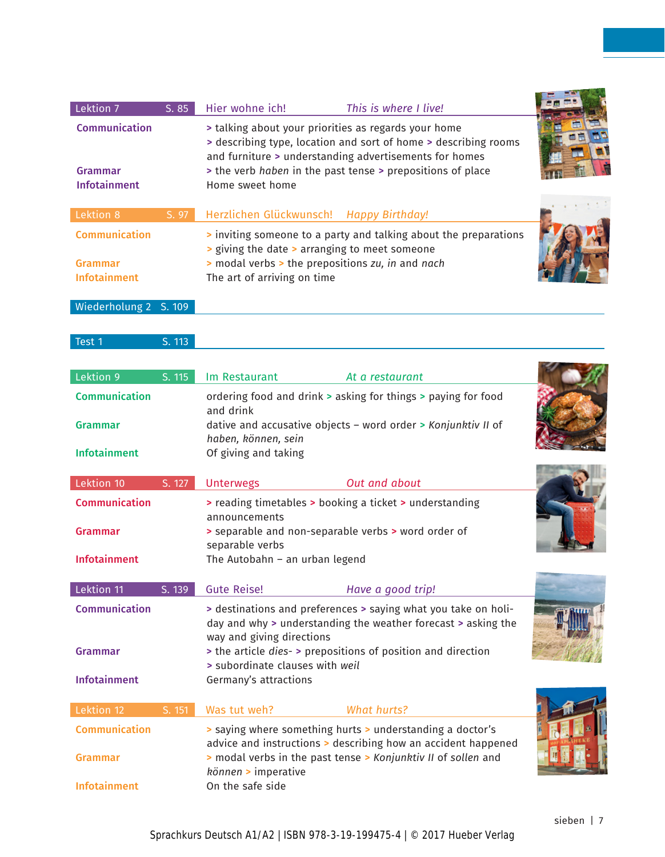| Lektion 7<br>Communication<br>Grammar<br><b>Infotainment</b> | S.85  | Hier wohne ich!<br>> talking about your priorities as regards your home<br>Home sweet home                                       | This is where I live!<br>> describing type, location and sort of home > describing rooms<br>and furniture > understanding advertisements for homes<br>> the verb haben in the past tense > prepositions of place |  |
|--------------------------------------------------------------|-------|----------------------------------------------------------------------------------------------------------------------------------|------------------------------------------------------------------------------------------------------------------------------------------------------------------------------------------------------------------|--|
| Lektion 8                                                    | S. 97 | Herzlichen Glückwunsch! Happy Birthday!                                                                                          |                                                                                                                                                                                                                  |  |
| <b>Communication</b>                                         |       |                                                                                                                                  | Inviting someone to a party and talking about the preparations                                                                                                                                                   |  |
| Grammar<br><b>Infotainment</b>                               |       | > giving the date > arranging to meet someone<br>> modal verbs > the prepositions zu, in and nach<br>The art of arriving on time |                                                                                                                                                                                                                  |  |
| Wiederholung 2 S. 109                                        |       |                                                                                                                                  |                                                                                                                                                                                                                  |  |

| Test 1 | S. 113 |
|--------|--------|
|        |        |

| Lektion 9<br>S. 115  | Im Restaurant                                                                                                                                                | At a restaurant    |  |
|----------------------|--------------------------------------------------------------------------------------------------------------------------------------------------------------|--------------------|--|
| <b>Communication</b> | ordering food and drink > asking for things > paying for food<br>and drink                                                                                   |                    |  |
| <b>Grammar</b>       | dative and accusative objects - word order > Konjunktiv II of<br>haben, können, sein                                                                         |                    |  |
| <b>Infotainment</b>  | Of giving and taking                                                                                                                                         |                    |  |
| Lektion 10<br>S. 127 | <b>Unterwegs</b>                                                                                                                                             | Out and about      |  |
| Communication        | > reading timetables > booking a ticket > understanding<br>announcements                                                                                     |                    |  |
| <b>Grammar</b>       | > separable and non-separable verbs > word order of<br>separable verbs                                                                                       |                    |  |
| <b>Infotainment</b>  | The Autobahn - an urban legend                                                                                                                               |                    |  |
| Lektion 11<br>S. 139 | <b>Gute Reise!</b>                                                                                                                                           | Have a good trip!  |  |
| Communication        | > destinations and preferences > saying what you take on holi-<br>day and why > understanding the weather forecast > asking the<br>way and giving directions |                    |  |
| <b>Grammar</b>       | the article dies- > prepositions of position and direction<br>> subordinate clauses with weil                                                                |                    |  |
| <b>Infotainment</b>  | Germany's attractions                                                                                                                                        |                    |  |
| S. 151<br>Lektion 12 | Was tut weh?                                                                                                                                                 | <b>What hurts?</b> |  |
| <b>Communication</b> | > saying where something hurts > understanding a doctor's<br>advice and instructions > describing how an accident happened                                   |                    |  |
| <b>Grammar</b>       | > modal verbs in the past tense > Konjunktiv II of sollen and<br>können > imperative                                                                         |                    |  |
| <b>Infotainment</b>  | On the safe side                                                                                                                                             |                    |  |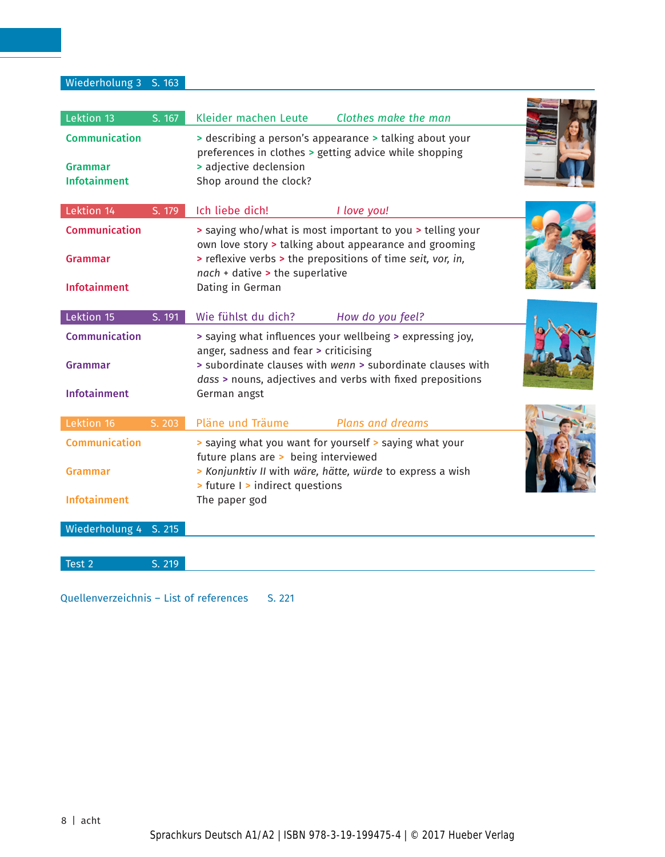Wiederholung 3 S. 163

| Lektion 13<br>S. 167<br>Communication<br>Grammar<br><b>Infotainment</b>        | Kleider machen Leute<br>preferences in clothes > getting advice while shopping<br>> adjective declension<br>Shop around the clock?                                     | Clothes make the man<br>> describing a person's appearance > talking about your                                                                                                                           |  |
|--------------------------------------------------------------------------------|------------------------------------------------------------------------------------------------------------------------------------------------------------------------|-----------------------------------------------------------------------------------------------------------------------------------------------------------------------------------------------------------|--|
| Lektion 14<br>S. 179<br>Communication<br>Grammar<br><b>Infotainment</b>        | Ich liebe dich!<br>$nach + dative > the superlative$<br>Dating in German                                                                                               | I love you!<br>> saying who/what is most important to you > telling your<br>own love story > talking about appearance and grooming<br>> reflexive verbs > the prepositions of time seit, vor, in,         |  |
| Lektion 15<br>S. 191<br>Communication<br>Grammar<br><b>Infotainment</b>        | Wie fühlst du dich?<br>anger, sadness and fear > criticising<br>German angst                                                                                           | How do you feel?<br>> saying what influences your wellbeing > expressing joy,<br>> subordinate clauses with wenn > subordinate clauses with<br>dass > nouns, adjectives and verbs with fixed prepositions |  |
| Lektion 16<br>S. 203<br>Communication<br><b>Grammar</b><br><b>Infotainment</b> | Pläne und Träume<br>> saying what you want for yourself > saying what your<br>future plans are > being interviewed<br>> future I > indirect questions<br>The paper god | <b>Plans and dreams</b><br>> Konjunktiv II with wäre, hätte, würde to express a wish                                                                                                                      |  |
| Wiederholung 4 S. 215<br>Test 2<br>S. 219                                      |                                                                                                                                                                        |                                                                                                                                                                                                           |  |

Quellenverzeichnis - List of references S. 221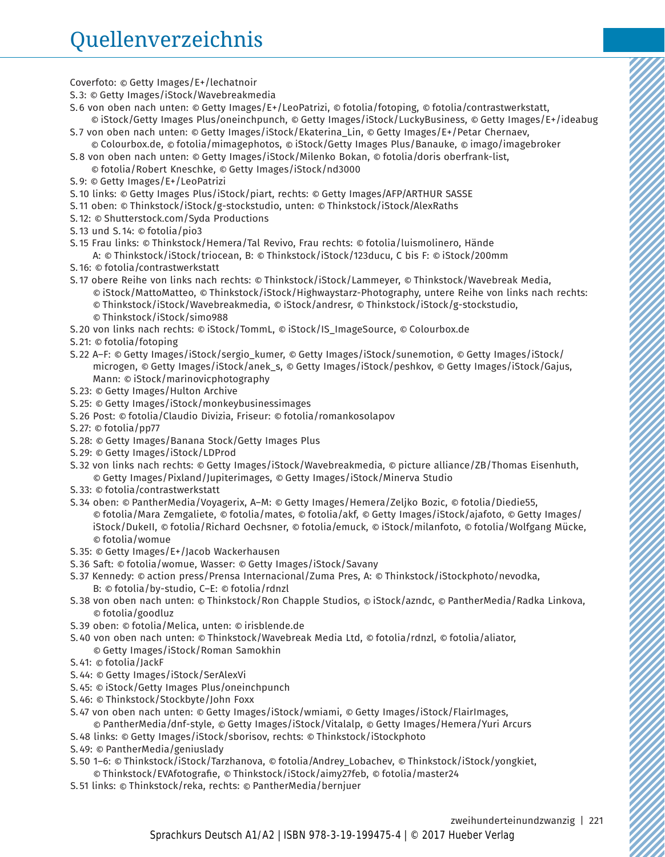Coverfoto: © Getty Images/E+/lechatnoir

- S. 3: © Getty Images/iStock/Wavebreakmedia
- S. 6 von oben nach unten: © Getty Images/E+/LeoPatrizi, © fotolia/fotoping, © fotolia/contrastwerkstatt, © iStock/Getty Images Plus/oneinchpunch, © Getty Images/iStock/LuckyBusiness, © Getty Images/E+/ideabug
- S. 7 von oben nach unten: © Getty Images/iStock/Ekaterina\_Lin, © Getty Images/E+/Petar Chernaev, © Colourbox.de, © fotolia/mimagephotos, © iStock/Getty Images Plus/Banauke, © imago/imagebroker
- S. 8 von oben nach unten: © Getty Images/iStock/Milenko Bokan, © fotolia/doris oberfrank-list, © fotolia/Robert Kneschke, © Getty Images/iStock/nd3000
- S. 9: © Getty Images/E+/LeoPatrizi
- S. 10 links: © Getty Images Plus/iStock/piart, rechts: © Getty Images/AFP/ARTHUR SASSE
- S. 11 oben: © Thinkstock/iStock/g-stockstudio, unten: © Thinkstock/iStock/AlexRaths
- S. 12: © Shutterstock.com/Syda Productions
- S. 13 und S. 14: © fotolia/pio3
- S. 15 Frau links: © Thinkstock/Hemera/Tal Revivo, Frau rechts: © fotolia/luismolinero, Hände
- A: © Thinkstock/iStock/triocean, B: © Thinkstock/iStock/123ducu, C bis F: © iStock/200mm S. 16: © fotolia/contrastwerkstatt
- S. 17 obere Reihe von links nach rechts: © Thinkstock/iStock/Lammeyer, © Thinkstock/Wavebreak Media, © iStock/MattoMatteo, © Thinkstock/iStock/Highwaystarz-Photography, untere Reihe von links nach rechts: © Thinkstock/iStock/Wavebreakmedia, © iStock/andresr, © Thinkstock/iStock/g-stockstudio, © Thinkstock/iStock/simo988
- S. 20 von links nach rechts: © iStock/TommL, © iStock/IS\_ImageSource, © Colourbox.de
- S. 21: © fotolia/fotoping
- S. 22 A–F: © Getty Images/iStock/sergio\_kumer, © Getty Images/iStock/sunemotion, © Getty Images/iStock/ microgen, © Getty Images/iStock/anek\_s, © Getty Images/iStock/peshkov, © Getty Images/iStock/Gajus, Mann: © iStock/marinovicphotography
- S. 23: © Getty Images/Hulton Archive
- S. 25: © Getty Images/iStock/monkeybusinessimages
- S. 26 Post: © fotolia/Claudio Divizia, Friseur: © fotolia/romankosolapov
- S. 27: © fotolia/pp77
- S. 28: © Getty Images/Banana Stock/Getty Images Plus
- S. 29: © Getty Images/iStock/LDProd
- S. 32 von links nach rechts: © Getty Images/iStock/Wavebreakmedia, © picture alliance/ZB/Thomas Eisenhuth, © Getty Images/Pixland/Jupiterimages, © Getty Images/iStock/Minerva Studio
- S. 33: © fotolia/contrastwerkstatt
- S. 34 oben: © PantherMedia/Voyagerix, A–M: © Getty Images/Hemera/Zeljko Bozic, © fotolia/Diedie55, © fotolia/Mara Zemgaliete, © fotolia/mates, © fotolia/akf, © Getty Images/iStock/ajafoto, © Getty Images/ iStock/DukeII, © fotolia/Richard Oechsner, © fotolia/emuck, © iStock/milanfoto, © fotolia/Wolfgang Mücke, © fotolia/womue
- S. 35: © Getty Images/E+/Jacob Wackerhausen
- S. 36 Saft: © fotolia/womue, Wasser: © Getty Images/iStock/Savany
- S. 37 Kennedy: © action press/Prensa Internacional/Zuma Pres, A: © Thinkstock/iStockphoto/nevodka, B: © fotolia/by-studio, C–E: © fotolia/rdnzl
- S. 38 von oben nach unten: © Thinkstock/Ron Chapple Studios, © iStock/azndc, © PantherMedia/Radka Linkova, © fotolia/goodluz
- S. 39 oben: © fotolia/Melica, unten: © irisblende.de
- S. 40 von oben nach unten: © Thinkstock/Wavebreak Media Ltd, © fotolia/rdnzl, © fotolia/aliator,
- © Getty Images/iStock/Roman Samokhin
- S. 41: © fotolia/JackF
- S. 44: © Getty Images/iStock/SerAlexVi
- S. 45: © iStock/Getty Images Plus/oneinchpunch
- S. 46: © Thinkstock/Stockbyte/John Foxx
- S. 47 von oben nach unten: © Getty Images/iStock/wmiami, © Getty Images/iStock/FlairImages, © PantherMedia/dnf-style, © Getty Images/iStock/Vitalalp, © Getty Images/Hemera/Yuri Arcurs
- S. 48 links: © Getty Images/iStock/sborisov, rechts: © Thinkstock/iStockphoto
- S. 49: © PantherMedia/geniuslady
- S. 50 1–6: © Thinkstock/iStock/Tarzhanova, © fotolia/Andrey\_Lobachev, © Thinkstock/iStock/yongkiet,
- © Thinkstock/EVAfotografie, © Thinkstock/iStock/aimy27feb, © fotolia/master24
- S. 51 links: © Thinkstock/reka, rechts: © PantherMedia/bernjuer

zweihunderteinundzwanzig | 221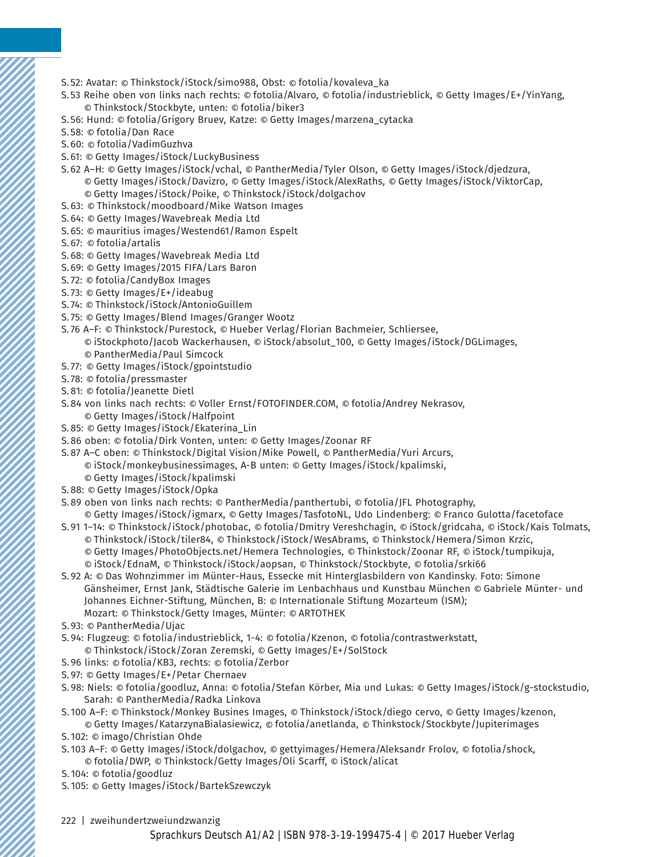- S. 52: Avatar: © Thinkstock/iStock/simo988, Obst: © fotolia/kovaleva\_ka
- S. 53 Reihe oben von links nach rechts: © fotolia/Alvaro, © fotolia/industrieblick, © Getty Images/E+/YinYang, © Thinkstock/Stockbyte, unten: © fotolia/biker3
- S. 56: Hund: © fotolia/Grigory Bruev, Katze: © Getty Images/marzena\_cytacka
- S. 58: © fotolia/Dan Race
- S. 60: © fotolia/VadimGuzhva
- S. 61: © Getty Images/iStock/LuckyBusiness
- S. 62 A–H: © Getty Images/iStock/vchal, © PantherMedia/Tyler Olson, © Getty Images/iStock/djedzura, © Getty Images/iStock/Davizro, © Getty Images/iStock/AlexRaths, © Getty Images/iStock/ViktorCap, © Getty Images/iStock/Poike, © Thinkstock/iStock/dolgachov
- S. 63: © Thinkstock/moodboard/Mike Watson Images
- S. 64: © Getty Images/Wavebreak Media Ltd
- S. 65: © mauritius images/Westend61/Ramon Espelt
- S. 67: © fotolia/artalis
- S. 68: © Getty Images/Wavebreak Media Ltd
- S. 69: © Getty Images/2015 FIFA/Lars Baron
- S. 72: © fotolia/CandyBox Images
- S. 73: © Getty Images/E+/ideabug
- S. 74: © Thinkstock/iStock/AntonioGuillem
- S. 75: © Getty Images/Blend Images/Granger Wootz
- S. 76 A–F: © Thinkstock/Purestock, © Hueber Verlag/Florian Bachmeier, Schliersee,
	- © iStockphoto/Jacob Wackerhausen, © iStock/absolut\_100, © Getty Images/iStock/DGLimages, © PantherMedia/Paul Simcock
- S. 77: © Getty Images/iStock/gpointstudio
- S. 78: © fotolia/pressmaster
- S. 81: © fotolia/Jeanette Dietl
- S. 84 von links nach rechts: © Voller Ernst/FOTOFINDER.COM, © fotolia/Andrey Nekrasov, © Getty Images/iStock/Halfpoint
- S. 85: © Getty Images/iStock/Ekaterina\_Lin
- S. 86 oben: © fotolia/Dirk Vonten, unten: © Getty Images/Zoonar RF
- S. 87 A–C oben: © Thinkstock/Digital Vision/Mike Powell, © PantherMedia/Yuri Arcurs, © iStock/monkeybusinessimages, A-B unten: © Getty Images/iStock/kpalimski,
	- © Getty Images/iStock/kpalimski
- S. 88: © Getty Images/iStock/Opka
- S. 89 oben von links nach rechts: © PantherMedia/panthertubi, © fotolia/JFL Photography,
- © Getty Images/iStock/igmarx, © Getty Images/TasfotoNL, Udo Lindenberg: © Franco Gulotta/facetoface
- S. 91 1–14: © Thinkstock/iStock/photobac, © fotolia/Dmitry Vereshchagin, © iStock/gridcaha, © iStock/Kais Tolmats, © Thinkstock/iStock/tiler84, © Thinkstock/iStock/WesAbrams, © Thinkstock/Hemera/Simon Krzic, © Getty Images/PhotoObjects.net/Hemera Technologies, © Thinkstock/Zoonar RF, © iStock/tumpikuja, © iStock/EdnaM, © Thinkstock/iStock/aopsan, © Thinkstock/Stockbyte, © fotolia/srki66
- S. 92 A: © Das Wohnzimmer im Münter-Haus, Essecke mit Hinterglasbildern von Kandinsky. Foto: Simone Gänsheimer, Ernst Jank, Städtische Galerie im Lenbachhaus und Kunstbau München © Gabriele Münter- und Johannes Eichner-Stiftung, München, B: © Internationale Stiftung Mozarteum (ISM); Mozart: © Thinkstock/Getty Images, Münter: © ARTOTHEK
- S. 93: © PantherMedia/Ujac
- S. 94: Flugzeug: © fotolia/industrieblick, 1-4: © fotolia/Kzenon, © fotolia/contrastwerkstatt, © Thinkstock/iStock/Zoran Zeremski, © Getty Images/E+/SolStock
- S. 96 links: © fotolia/KB3, rechts: © fotolia/Zerbor
- S. 97: © Getty Images/E+/Petar Chernaev
- S. 98: Niels: © fotolia/goodluz, Anna: © fotolia/Stefan Körber, Mia und Lukas: © Getty Images/iStock/g-stockstudio, Sarah: © PantherMedia/Radka Linkova
- S. 100 A–F: © Thinkstock/Monkey Busines Images, © Thinkstock/iStock/diego cervo, © Getty Images/kzenon, © Getty Images/KatarzynaBialasiewicz, © fotolia/anetlanda, © Thinkstock/Stockbyte/Jupiterimages
- S. 102: © imago/Christian Ohde
- S. 103 A–F: © Getty Images/iStock/dolgachov, © gettyimages/Hemera/Aleksandr Frolov, © fotolia/shock, © fotolia/DWP, © Thinkstock/Getty Images/Oli Scarff, © iStock/alicat
- S. 104: © fotolia/goodluz
- S. 105: © Getty Images/iStock/BartekSzewczyk
- 222 | zweihundertzweiundzwanzig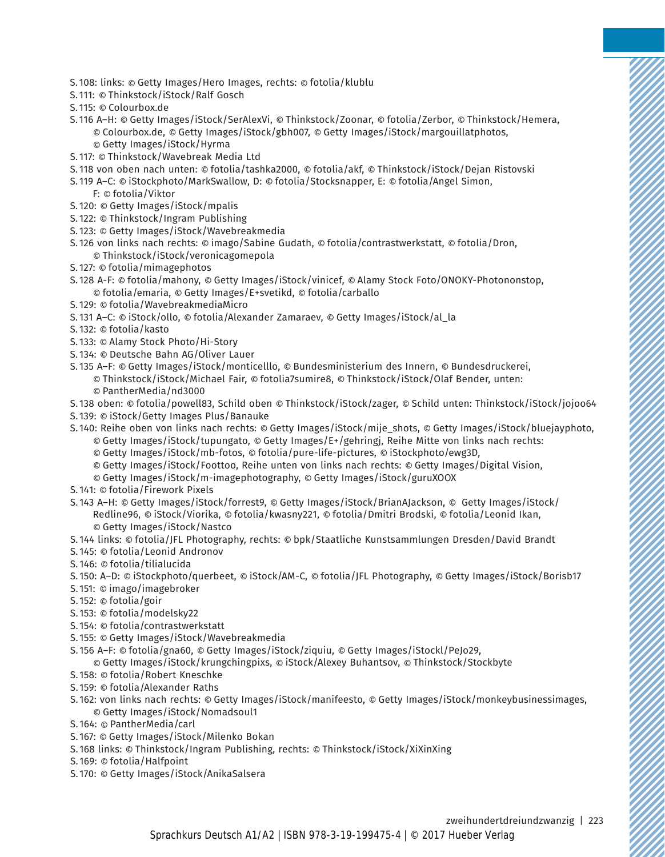- S. 108: links: © Getty Images/Hero Images, rechts: © fotolia/klublu
- S. 111: © Thinkstock/iStock/Ralf Gosch
- S. 115: © Colourbox.de
- S. 116 A–H: © Getty Images/iStock/SerAlexVi, © Thinkstock/Zoonar, © fotolia/Zerbor, © Thinkstock/Hemera, © Colourbox.de, © Getty Images/iStock/gbh007, © Getty Images/iStock/margouillatphotos, © Getty Images/iStock/Hyrma
- S. 117: © Thinkstock/Wavebreak Media Ltd
- S. 118 von oben nach unten: © fotolia/tashka2000, © fotolia/akf, © Thinkstock/iStock/Dejan Ristovski
- S. 119 A–C: © iStockphoto/MarkSwallow, D: © fotolia/Stocksnapper, E: © fotolia/Angel Simon, F: © fotolia/Viktor
- S. 120: © Getty Images/iStock/mpalis
- S. 122: © Thinkstock/Ingram Publishing
- S. 123: © Getty Images/iStock/Wavebreakmedia
- S. 126 von links nach rechts: © imago/Sabine Gudath, © fotolia/contrastwerkstatt, © fotolia/Dron, © Thinkstock/iStock/veronicagomepola
- S. 127: © fotolia/mimagephotos
- S. 128 A-F: © fotolia/mahony, © Getty Images/iStock/vinicef, © Alamy Stock Foto/ONOKY-Photononstop, © fotolia/emaria, © Getty Images/E+svetikd, © fotolia/carballo
- S. 129: © fotolia/WavebreakmediaMicro
- S. 131 A–C: © iStock/ollo, © fotolia/Alexander Zamaraev, © Getty Images/iStock/al\_la
- S. 132: © fotolia/kasto
- S. 133: © Alamy Stock Photo/Hi-Story
- S. 134: © Deutsche Bahn AG/Oliver Lauer
- S. 135 A–F: © Getty Images/iStock/monticelllo, © Bundesministerium des Innern, © Bundesdruckerei, © Thinkstock/iStock/Michael Fair, © fotolia7sumire8, © Thinkstock/iStock/Olaf Bender, unten: © PantherMedia/nd3000
- S. 138 oben: © fotolia/powell83, Schild oben © Thinkstock/iStock/zager, © Schild unten: Thinkstock/iStock/jojoo64
- S. 139: © iStock/Getty Images Plus/Banauke
- S. 140: Reihe oben von links nach rechts: © Getty Images/iStock/mije\_shots, © Getty Images/iStock/bluejayphoto, © Getty Images/iStock/tupungato, © Getty Images/E+/gehringj, Reihe Mitte von links nach rechts:
	- © Getty Images/iStock/mb-fotos, © fotolia/pure-life-pictures, © iStockphoto/ewg3D,
	- © Getty Images/iStock/Foottoo, Reihe unten von links nach rechts: © Getty Images/Digital Vision,

© Getty Images/iStock/m-imagephotography, © Getty Images/iStock/guruXOOX

- S. 141: © fotolia/Firework Pixels
- S. 143 A–H: © Getty Images/iStock/forrest9, © Getty Images/iStock/BrianAJackson, © Getty Images/iStock/ Redline96, © iStock/Viorika, © fotolia/kwasny221, © fotolia/Dmitri Brodski, © fotolia/Leonid Ikan, © Getty Images/iStock/Nastco
- S. 144 links: © fotolia/JFL Photography, rechts: © bpk/Staatliche Kunstsammlungen Dresden/David Brandt
- S. 145: © fotolia/Leonid Andronov
- S. 146: © fotolia/tilialucida
- S. 150: A–D: © iStockphoto/querbeet, © iStock/AM-C, © fotolia/JFL Photography, © Getty Images/iStock/Borisb17
- S. 151: © imago/imagebroker
- S. 152: © fotolia/goir
- S. 153: © fotolia/modelsky22
- S. 154: © fotolia/contrastwerkstatt
- S. 155: © Getty Images/iStock/Wavebreakmedia
- S. 156 A–F: © fotolia/gna60, © Getty Images/iStock/ziquiu, © Getty Images/iStockl/PeJo29,
	- © Getty Images/iStock/krungchingpixs, © iStock/Alexey Buhantsov, © Thinkstock/Stockbyte
- S. 158: © fotolia/Robert Kneschke
- S. 159: © fotolia/Alexander Raths
- S. 162: von links nach rechts: © Getty Images/iStock/manifeesto, © Getty Images/iStock/monkeybusinessimages, © Getty Images/iStock/Nomadsoul1
- S. 164: © PantherMedia/carl
- S. 167: © Getty Images/iStock/Milenko Bokan
- S. 168 links: © Thinkstock/Ingram Publishing, rechts: © Thinkstock/iStock/XiXinXing
- S. 169: © fotolia/Halfpoint
- S. 170: © Getty Images/iStock/AnikaSalsera